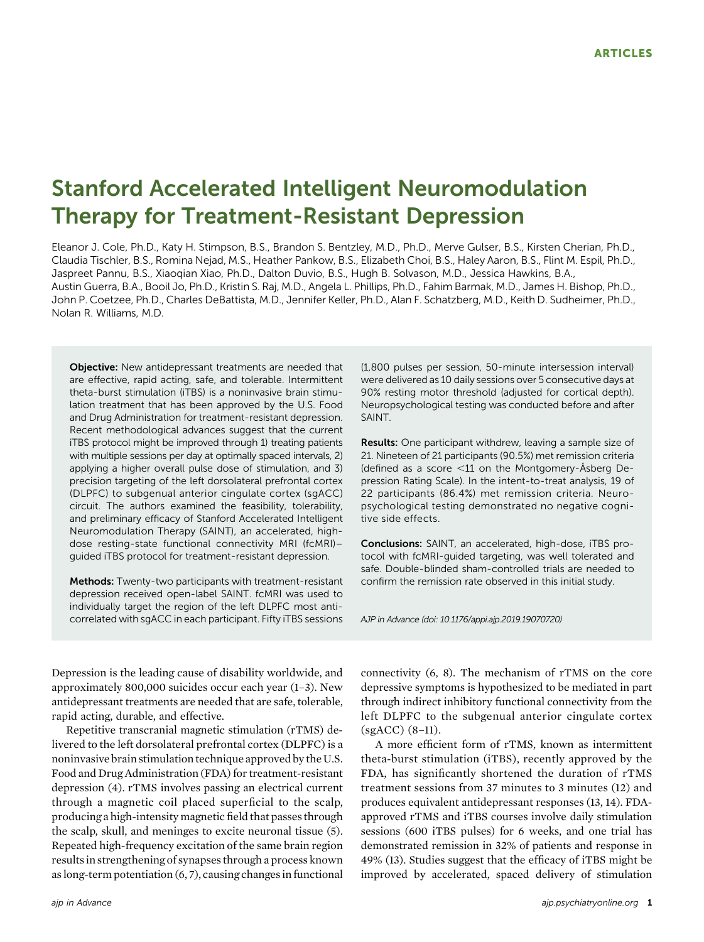# Stanford Accelerated Intelligent Neuromodulation Therapy for Treatment-Resistant Depression

Eleanor J. Cole, Ph.D., Katy H. Stimpson, B.S., Brandon S. Bentzley, M.D., Ph.D., Merve Gulser, B.S., Kirsten Cherian, Ph.D., Claudia Tischler, B.S., Romina Nejad, M.S., Heather Pankow, B.S., Elizabeth Choi, B.S., Haley Aaron, B.S., Flint M. Espil, Ph.D., Jaspreet Pannu, B.S., Xiaoqian Xiao, Ph.D., Dalton Duvio, B.S., Hugh B. Solvason, M.D., Jessica Hawkins, B.A., Austin Guerra, B.A., Booil Jo, Ph.D., Kristin S. Raj, M.D., Angela L. Phillips, Ph.D., Fahim Barmak, M.D., James H. Bishop, Ph.D., John P. Coetzee, Ph.D., Charles DeBattista, M.D., Jennifer Keller, Ph.D., Alan F. Schatzberg, M.D., Keith D. Sudheimer, Ph.D., Nolan R. Williams, M.D.

**Objective:** New antidepressant treatments are needed that are effective, rapid acting, safe, and tolerable. Intermittent theta-burst stimulation (iTBS) is a noninvasive brain stimulation treatment that has been approved by the U.S. Food and Drug Administration for treatment-resistant depression. Recent methodological advances suggest that the current iTBS protocol might be improved through 1) treating patients with multiple sessions per day at optimally spaced intervals, 2) applying a higher overall pulse dose of stimulation, and 3) precision targeting of the left dorsolateral prefrontal cortex (DLPFC) to subgenual anterior cingulate cortex (sgACC) circuit. The authors examined the feasibility, tolerability, and preliminary efficacy of Stanford Accelerated Intelligent Neuromodulation Therapy (SAINT), an accelerated, highdose resting-state functional connectivity MRI (fcMRI)– guided iTBS protocol for treatment-resistant depression.

Methods: Twenty-two participants with treatment-resistant depression received open-label SAINT. fcMRI was used to individually target the region of the left DLPFC most anticorrelated with sgACC in each participant. Fifty iTBS sessions (1,800 pulses per session, 50-minute intersession interval) were delivered as 10 daily sessions over 5 consecutive days at 90% resting motor threshold (adjusted for cortical depth). Neuropsychological testing was conducted before and after SAINT.

Results: One participant withdrew, leaving a sample size of 21. Nineteen of 21 participants (90.5%) met remission criteria (defined as a score  $<$ 11 on the Montgomery-Åsberg Depression Rating Scale). In the intent-to-treat analysis, 19 of 22 participants (86.4%) met remission criteria. Neuropsychological testing demonstrated no negative cognitive side effects.

Conclusions: SAINT, an accelerated, high-dose, iTBS protocol with fcMRI-guided targeting, was well tolerated and safe. Double-blinded sham-controlled trials are needed to confirm the remission rate observed in this initial study.

AJP in Advance (doi: 10.1176/appi.ajp.2019.19070720)

Depression is the leading cause of disability worldwide, and approximately 800,000 suicides occur each year (1–3). New antidepressant treatments are needed that are safe, tolerable, rapid acting, durable, and effective.

Repetitive transcranial magnetic stimulation (rTMS) delivered to the left dorsolateral prefrontal cortex (DLPFC) is a noninvasive brain stimulation technique approved by the U.S. Food and Drug Administration (FDA) for treatment-resistant depression (4). rTMS involves passing an electrical current through a magnetic coil placed superficial to the scalp, producing a high-intensity magnetic field that passes through the scalp, skull, and meninges to excite neuronal tissue (5). Repeated high-frequency excitation of the same brain region results in strengthening of synapses through a process known as long-term potentiation (6, 7), causing changes in functional connectivity (6, 8). The mechanism of rTMS on the core depressive symptoms is hypothesized to be mediated in part through indirect inhibitory functional connectivity from the left DLPFC to the subgenual anterior cingulate cortex (sgACC) (8–11).

A more efficient form of rTMS, known as intermittent theta-burst stimulation (iTBS), recently approved by the FDA, has significantly shortened the duration of rTMS treatment sessions from 37 minutes to 3 minutes (12) and produces equivalent antidepressant responses (13, 14). FDAapproved rTMS and iTBS courses involve daily stimulation sessions (600 iTBS pulses) for 6 weeks, and one trial has demonstrated remission in 32% of patients and response in 49% (13). Studies suggest that the efficacy of iTBS might be improved by accelerated, spaced delivery of stimulation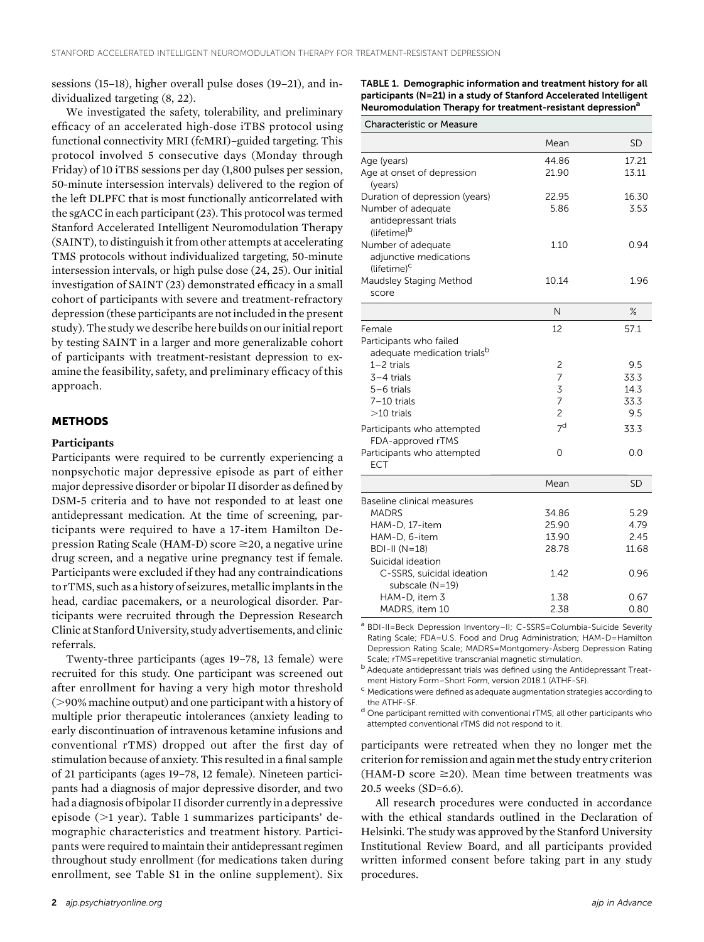sessions (15–18), higher overall pulse doses (19–21), and individualized targeting (8, 22).

We investigated the safety, tolerability, and preliminary efficacy of an accelerated high-dose iTBS protocol using functional connectivity MRI (fcMRI)–guided targeting. This protocol involved 5 consecutive days (Monday through Friday) of 10 iTBS sessions per day (1,800 pulses per session, 50-minute intersession intervals) delivered to the region of the left DLPFC that is most functionally anticorrelated with the sgACC in each participant (23). This protocol was termed Stanford Accelerated Intelligent Neuromodulation Therapy (SAINT), to distinguish it from other attempts at accelerating TMS protocols without individualized targeting, 50-minute intersession intervals, or high pulse dose (24, 25). Our initial investigation of SAINT (23) demonstrated efficacy in a small cohort of participants with severe and treatment-refractory depression (these participants are not included in the present study). The study we describe here builds on our initial report by testing SAINT in a larger and more generalizable cohort of participants with treatment-resistant depression to examine the feasibility, safety, and preliminary efficacy of this approach.

#### **METHODS**

#### **Participants**

Participants were required to be currently experiencing a nonpsychotic major depressive episode as part of either major depressive disorder or bipolar II disorder as defined by DSM-5 criteria and to have not responded to at least one antidepressant medication. At the time of screening, participants were required to have a 17-item Hamilton Depression Rating Scale (HAM-D) score  $\geq$ 20, a negative urine drug screen, and a negative urine pregnancy test if female. Participants were excluded if they had any contraindications to rTMS, such as a history of seizures, metallic implants in the head, cardiac pacemakers, or a neurological disorder. Participants were recruited through the Depression Research Clinic at Stanford University, study advertisements, and clinic referrals.

Twenty-three participants (ages 19–78, 13 female) were recruited for this study. One participant was screened out after enrollment for having a very high motor threshold  $(>90%$  machine output) and one participant with a history of multiple prior therapeutic intolerances (anxiety leading to early discontinuation of intravenous ketamine infusions and conventional rTMS) dropped out after the first day of stimulation because of anxiety. This resulted in a final sample of 21 participants (ages 19–78, 12 female). Nineteen participants had a diagnosis of major depressive disorder, and two had a diagnosis of bipolar II disorder currently in a depressive episode  $(>1$  year). Table 1 summarizes participants' demographic characteristics and treatment history. Participants were required to maintain their antidepressant regimen throughout study enrollment (for medications taken during enrollment, see Table S1 in the online supplement). Six TABLE 1. Demographic information and treatment history for all participants (N=21) in a study of Stanford Accelerated Intelligent Neuromodulation Therapy for treatment-resistant depression<sup>a</sup>

| <b>Characteristic or Measure</b>                                             |                |           |
|------------------------------------------------------------------------------|----------------|-----------|
|                                                                              | Mean           | SD        |
| Age (years)                                                                  | 44.86          | 17.21     |
| Age at onset of depression<br>(years)                                        | 21.90          | 13.11     |
| Duration of depression (years)                                               | 22.95          | 16.30     |
| Number of adequate<br>antidepressant trials<br>(lifetime) <sup>b</sup>       | 5.86           | 3.53      |
| Number of adequate<br>adjunctive medications<br>$(lifetime)^c$               | 1.10           | 0.94      |
| Maudsley Staging Method<br>score                                             | 10.14          | 1.96      |
|                                                                              | N              | $\%$      |
| Female<br>Participants who failed<br>adequate medication trials <sup>b</sup> | 12             | 57.1      |
| $1 - 2$ trials                                                               | 2              | 9.5       |
| $3-4$ trials                                                                 | $\overline{7}$ | 33.3      |
| $5-6$ trials                                                                 | 3              | 14.3      |
| $7-10$ trials                                                                | $\overline{7}$ | 33.3      |
| $>10$ trials                                                                 | $\overline{c}$ | 9.5       |
| Participants who attempted<br>FDA-approved rTMS                              | 7 <sup>d</sup> | 33.3      |
| Participants who attempted<br><b>ECT</b>                                     | 0              | 0.0       |
|                                                                              | Mean           | <b>SD</b> |
| Baseline clinical measures                                                   |                |           |
| <b>MADRS</b>                                                                 | 34.86          | 5.29      |
| HAM-D, 17-item                                                               | 25.90          | 4.79      |
| HAM-D, 6-item                                                                | 13.90          | 2.45      |
| <b>BDI-II (N=18)</b>                                                         | 28.78          | 11.68     |
| Suicidal ideation                                                            |                |           |
| C-SSRS, suicidal ideation<br>subscale (N=19)                                 | 1.42           | 0.96      |
| HAM-D, item 3                                                                | 1.38           | 0.67      |
| MADRS, item 10                                                               | 2.38           | 0.80      |

a BDI-II=Beck Depression Inventory-II; C-SSRS=Columbia-Suicide Severity Rating Scale; FDA=U.S. Food and Drug Administration; HAM-D=Hamilton Depression Rating Scale; MADRS=Montgomery-Åsberg Depression Rating Scale; rTMS=repetitive transcranial magnetic stimulation.

<sup>b</sup> Adequate antidepressant trials was defined using the Antidepressant Treat-

ment History Form–Short Form, version 2018.1 (ATHF-SF).<br><sup>c</sup> Medications were defined as adequate augmentation strategies according to the ATHF-SF.

<sup>d</sup> One participant remitted with conventional rTMS; all other participants who attempted conventional rTMS did not respond to it.

participants were retreated when they no longer met the criterion for remission and againmet the study entry criterion (HAM-D score  $\geq$ 20). Mean time between treatments was 20.5 weeks (SD=6.6).

All research procedures were conducted in accordance with the ethical standards outlined in the Declaration of Helsinki. The study was approved by the Stanford University Institutional Review Board, and all participants provided written informed consent before taking part in any study procedures.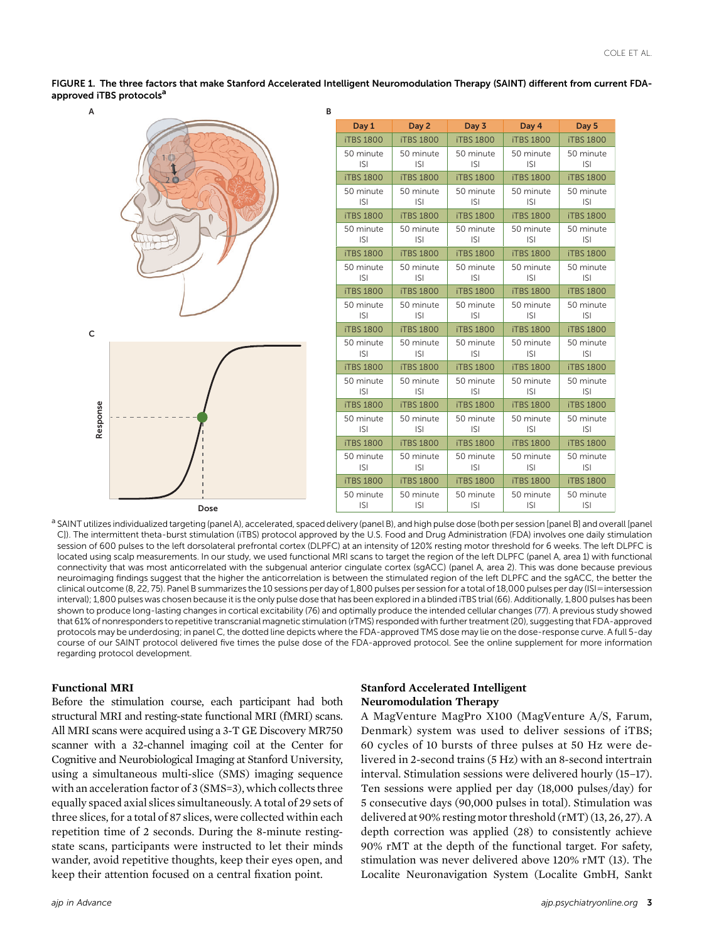FIGURE 1. The three factors that make Stanford Accelerated Intelligent Neuromodulation Therapy (SAINT) different from current FDAapproved iTBS protocols<sup>a</sup>



| Day 1                   | Day 2                   | Day 3                   | Day 4                   | Day 5                   |  |  |
|-------------------------|-------------------------|-------------------------|-------------------------|-------------------------|--|--|
| <b>iTBS 1800</b>        | <b>iTBS 1800</b>        | <b>iTBS 1800</b>        | <b>iTBS 1800</b>        | <b>iTBS 1800</b>        |  |  |
| 50 minute<br><b>ISI</b> | 50 minute<br><b>ISI</b> | 50 minute<br><b>ISI</b> | 50 minute<br><b>ISI</b> | 50 minute<br><b>ISI</b> |  |  |
| <b>iTBS 1800</b>        | <b>iTBS 1800</b>        | <b>iTBS 1800</b>        | <b>iTBS 1800</b>        | <b>iTBS 1800</b>        |  |  |
| 50 minute<br><b>ISI</b> | 50 minute<br><b>ISI</b> | 50 minute<br><b>ISI</b> | 50 minute<br><b>ISI</b> | 50 minute<br><b>ISI</b> |  |  |
| <b>iTBS 1800</b>        | <b>iTBS 1800</b>        | <b>iTBS 1800</b>        | <b>iTBS 1800</b>        | <b>iTBS 1800</b>        |  |  |
| 50 minute<br><b>ISI</b> | 50 minute<br><b>ISI</b> | 50 minute<br><b>ISI</b> | 50 minute<br><b>ISI</b> | 50 minute<br><b>ISI</b> |  |  |
| <b>iTBS 1800</b>        | <b>iTBS 1800</b>        | <b>iTBS 1800</b>        | <b>iTBS 1800</b>        | <b>iTBS 1800</b>        |  |  |
| 50 minute<br><b>ISI</b> | 50 minute<br><b>ISI</b> | 50 minute<br><b>ISI</b> | 50 minute<br><b>ISI</b> | 50 minute<br><b>ISI</b> |  |  |
| <b>iTBS 1800</b>        | <b>iTBS 1800</b>        | <b>iTBS 1800</b>        | <b>iTBS 1800</b>        | <b>iTBS 1800</b>        |  |  |
| 50 minute<br><b>ISI</b> | 50 minute<br><b>ISI</b> | 50 minute<br><b>ISI</b> | 50 minute<br><b>ISI</b> | 50 minute<br><b>ISI</b> |  |  |
| <b>iTBS 1800</b>        | <b>iTBS 1800</b>        | <b>iTBS 1800</b>        | <b>iTBS 1800</b>        | <b>iTBS 1800</b>        |  |  |
| 50 minute<br><b>ISI</b> | 50 minute<br> S         | 50 minute<br><b>ISI</b> | 50 minute<br><b>ISI</b> | 50 minute<br> S         |  |  |
| <b>iTBS 1800</b>        | <b>iTBS 1800</b>        | <b>iTBS 1800</b>        | <b>iTBS 1800</b>        | <b>iTBS 1800</b>        |  |  |
| 50 minute<br><b>ISI</b> | 50 minute<br><b>ISI</b> | 50 minute<br><b>ISI</b> | 50 minute<br><b>ISI</b> | 50 minute<br><b>ISI</b> |  |  |
| <b>iTBS 1800</b>        | <b>iTBS 1800</b>        | <b>iTBS 1800</b>        | <b>iTBS 1800</b>        | <b>iTBS 1800</b>        |  |  |
| 50 minute<br><b>ISI</b> | 50 minute<br><b>ISI</b> | 50 minute<br><b>ISI</b> | 50 minute<br><b>ISI</b> | 50 minute<br><b>ISI</b> |  |  |
| <b>iTBS 1800</b>        | <b>iTBS 1800</b>        | <b>iTBS 1800</b>        | <b>iTBS 1800</b>        | <b>iTBS 1800</b>        |  |  |
| 50 minute<br><b>ISI</b> | 50 minute<br><b>ISI</b> | 50 minute<br><b>ISI</b> | 50 minute<br><b>ISI</b> | 50 minute<br> S         |  |  |
| <b>iTBS 1800</b>        | <b>iTBS 1800</b>        | <b>iTBS 1800</b>        | <b>iTBS 1800</b>        | <b>iTBS 1800</b>        |  |  |
| 50 minute<br> S         | 50 minute<br><b>ISI</b> | 50 minute<br><b>ISI</b> | 50 minute<br><b>ISI</b> | 50 minute<br><b>ISI</b> |  |  |

a SAINT utilizes individualized targeting (panel A), accelerated, spaced delivery (panel B), and high pulse dose (both per session [panel B] and overall [panel C]). The intermittent theta-burst stimulation (iTBS) protocol approved by the U.S. Food and Drug Administration (FDA) involves one daily stimulation session of 600 pulses to the left dorsolateral prefrontal cortex (DLPFC) at an intensity of 120% resting motor threshold for 6 weeks. The left DLPFC is located using scalp measurements. In our study, we used functional MRI scans to target the region of the left DLPFC (panel A, area 1) with functional connectivity that was most anticorrelated with the subgenual anterior cingulate cortex (sgACC) (panel A, area 2). This was done because previous neuroimaging findings suggest that the higher the anticorrelation is between the stimulated region of the left DLPFC and the sgACC, the better the clinical outcome (8, 22, 75). Panel B summarizes the 10 sessions per day of 1,800 pulses per session for a total of 18,000 pulses per day (ISI=intersession interval); 1,800 pulses was chosen because it is the only pulse dose that has been explored in a blinded iTBS trial (66). Additionally, 1,800 pulses has been shown to produce long-lasting changes in cortical excitability (76) and optimally produce the intended cellular changes (77). A previous study showed that 61% of nonresponders to repetitive transcranial magnetic stimulation (rTMS) responded with further treatment (20), suggesting that FDA-approved protocols may be underdosing; in panel C, the dotted line depicts where the FDA-approved TMS dose may lie on the dose-response curve. A full 5-day course of our SAINT protocol delivered five times the pulse dose of the FDA-approved protocol. See the online supplement for more information regarding protocol development.

#### Functional MRI

Before the stimulation course, each participant had both structural MRI and resting-state functional MRI (fMRI) scans. All MRI scans were acquired using a 3-T GE Discovery MR750 scanner with a 32-channel imaging coil at the Center for Cognitive and Neurobiological Imaging at Stanford University, using a simultaneous multi-slice (SMS) imaging sequence with an acceleration factor of 3 (SMS=3), which collects three equally spaced axial slices simultaneously. A total of 29 sets of three slices, for a total of 87 slices, were collected within each repetition time of 2 seconds. During the 8-minute restingstate scans, participants were instructed to let their minds wander, avoid repetitive thoughts, keep their eyes open, and keep their attention focused on a central fixation point.

## Stanford Accelerated Intelligent Neuromodulation Therapy

A MagVenture MagPro X100 (MagVenture A/S, Farum, Denmark) system was used to deliver sessions of iTBS; 60 cycles of 10 bursts of three pulses at 50 Hz were delivered in 2-second trains (5 Hz) with an 8-second intertrain interval. Stimulation sessions were delivered hourly (15–17). Ten sessions were applied per day (18,000 pulses/day) for 5 consecutive days (90,000 pulses in total). Stimulation was delivered at 90% resting motor threshold (rMT) (13, 26, 27). A depth correction was applied (28) to consistently achieve 90% rMT at the depth of the functional target. For safety, stimulation was never delivered above 120% rMT (13). The Localite Neuronavigation System (Localite GmbH, Sankt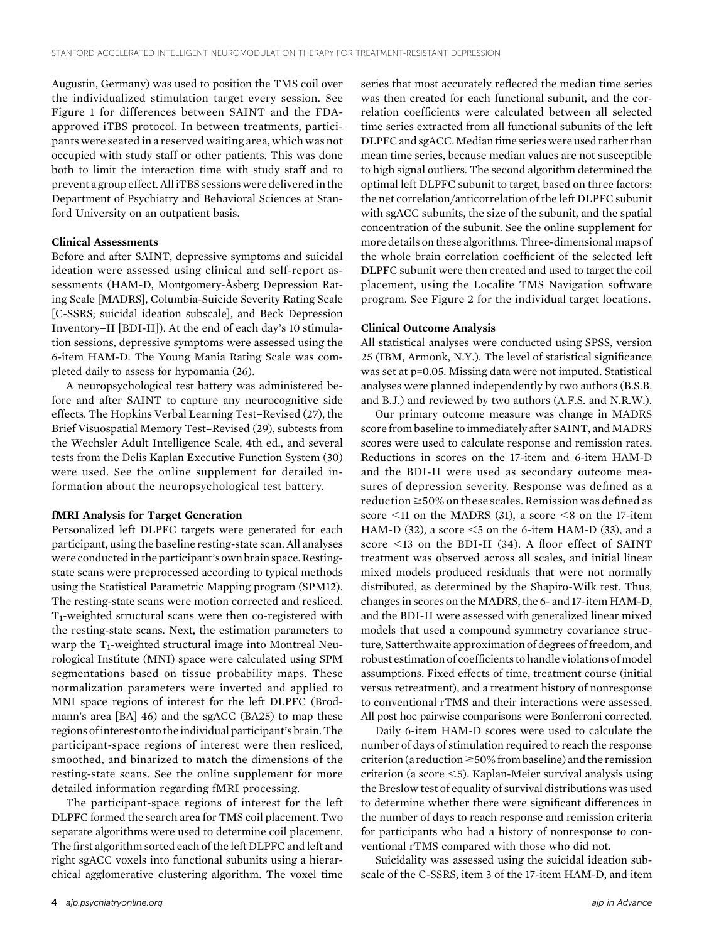Augustin, Germany) was used to position the TMS coil over the individualized stimulation target every session. See Figure 1 for differences between SAINT and the FDAapproved iTBS protocol. In between treatments, participants were seated in a reserved waiting area, which was not occupied with study staff or other patients. This was done both to limit the interaction time with study staff and to prevent a group effect. All iTBS sessions were delivered in the Department of Psychiatry and Behavioral Sciences at Stanford University on an outpatient basis.

### Clinical Assessments

Before and after SAINT, depressive symptoms and suicidal ideation were assessed using clinical and self-report assessments (HAM-D, Montgomery-Åsberg Depression Rating Scale [MADRS], Columbia-Suicide Severity Rating Scale [C-SSRS; suicidal ideation subscale], and Beck Depression Inventory–II [BDI-II]). At the end of each day's 10 stimulation sessions, depressive symptoms were assessed using the 6-item HAM-D. The Young Mania Rating Scale was completed daily to assess for hypomania (26).

A neuropsychological test battery was administered before and after SAINT to capture any neurocognitive side effects. The Hopkins Verbal Learning Test–Revised (27), the Brief Visuospatial Memory Test–Revised (29), subtests from the Wechsler Adult Intelligence Scale, 4th ed., and several tests from the Delis Kaplan Executive Function System (30) were used. See the online supplement for detailed information about the neuropsychological test battery.

#### fMRI Analysis for Target Generation

Personalized left DLPFC targets were generated for each participant, using the baseline resting-state scan. All analyses were conductedin the participant's own brain space. Restingstate scans were preprocessed according to typical methods using the Statistical Parametric Mapping program (SPM12). The resting-state scans were motion corrected and resliced. T1-weighted structural scans were then co-registered with the resting-state scans. Next, the estimation parameters to warp the  $T_1$ -weighted structural image into Montreal Neurological Institute (MNI) space were calculated using SPM segmentations based on tissue probability maps. These normalization parameters were inverted and applied to MNI space regions of interest for the left DLPFC (Brodmann's area [BA] 46) and the sgACC (BA25) to map these regions ofinterest onto the individual participant's brain. The participant-space regions of interest were then resliced, smoothed, and binarized to match the dimensions of the resting-state scans. See the online supplement for more detailed information regarding fMRI processing.

The participant-space regions of interest for the left DLPFC formed the search area for TMS coil placement. Two separate algorithms were used to determine coil placement. The first algorithm sorted each of the left DLPFC and left and right sgACC voxels into functional subunits using a hierarchical agglomerative clustering algorithm. The voxel time series that most accurately reflected the median time series was then created for each functional subunit, and the correlation coefficients were calculated between all selected time series extracted from all functional subunits of the left DLPFC and sgACC.Median time series were used rather than mean time series, because median values are not susceptible to high signal outliers. The second algorithm determined the optimal left DLPFC subunit to target, based on three factors: the net correlation/anticorrelation of the left DLPFC subunit with sgACC subunits, the size of the subunit, and the spatial concentration of the subunit. See the online supplement for more details on these algorithms. Three-dimensional maps of the whole brain correlation coefficient of the selected left DLPFC subunit were then created and used to target the coil placement, using the Localite TMS Navigation software program. See Figure 2 for the individual target locations.

#### Clinical Outcome Analysis

All statistical analyses were conducted using SPSS, version 25 (IBM, Armonk, N.Y.). The level of statistical significance was set at p=0.05. Missing data were not imputed. Statistical analyses were planned independently by two authors (B.S.B. and B.J.) and reviewed by two authors (A.F.S. and N.R.W.).

Our primary outcome measure was change in MADRS score from baseline to immediately after SAINT, and MADRS scores were used to calculate response and remission rates. Reductions in scores on the 17-item and 6-item HAM-D and the BDI-II were used as secondary outcome measures of depression severity. Response was defined as a reduction  $\geq$ 50% on these scales. Remission was defined as score  $\leq$ 11 on the MADRS (31), a score  $\leq$ 8 on the 17-item HAM-D (32), a score  $\leq$  5 on the 6-item HAM-D (33), and a score <13 on the BDI-II (34). A floor effect of SAINT treatment was observed across all scales, and initial linear mixed models produced residuals that were not normally distributed, as determined by the Shapiro-Wilk test. Thus, changes in scores on the MADRS, the 6- and 17-item HAM-D, and the BDI-II were assessed with generalized linear mixed models that used a compound symmetry covariance structure, Satterthwaite approximation of degrees of freedom, and robust estimation of coefficients to handle violations of model assumptions. Fixed effects of time, treatment course (initial versus retreatment), and a treatment history of nonresponse to conventional rTMS and their interactions were assessed. All post hoc pairwise comparisons were Bonferroni corrected.

Daily 6-item HAM-D scores were used to calculate the number of days of stimulation required to reach the response criterion (a reduction  $\geq$  50% from baseline) and the remission criterion (a score  $\leq$ 5). Kaplan-Meier survival analysis using the Breslow test of equality of survival distributions was used to determine whether there were significant differences in the number of days to reach response and remission criteria for participants who had a history of nonresponse to conventional rTMS compared with those who did not.

Suicidality was assessed using the suicidal ideation subscale of the C-SSRS, item 3 of the 17-item HAM-D, and item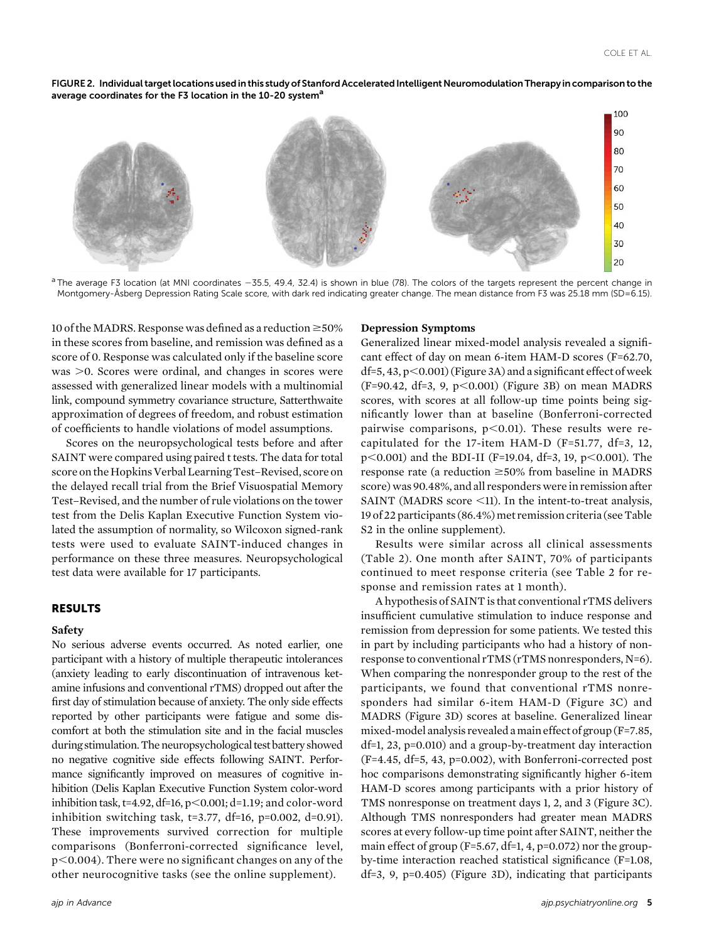FIGURE 2. Individual target locations used in this study of Stanford Accelerated Intelligent Neuromodulation Therapy in comparison to the average coordinates for the F3 location in the 10-20 system<sup>a</sup>



 $a$  The average F3 location (at MNI coordinates  $-35.5$ , 49.4, 32.4) is shown in blue (78). The colors of the targets represent the percent change in Montgomery-Åsberg Depression Rating Scale score, with dark red indicating greater change. The mean distance from F3 was 25.18 mm (SD=6.15).

10 of the MADRS. Response was defined as a reduction  $\geq 50\%$ in these scores from baseline, and remission was defined as a score of 0. Response was calculated only if the baseline score  $was >0$ . Scores were ordinal, and changes in scores were assessed with generalized linear models with a multinomial link, compound symmetry covariance structure, Satterthwaite approximation of degrees of freedom, and robust estimation of coefficients to handle violations of model assumptions.

Scores on the neuropsychological tests before and after SAINT were compared using paired t tests. The data for total score on the Hopkins Verbal Learning Test–Revised, score on the delayed recall trial from the Brief Visuospatial Memory Test–Revised, and the number of rule violations on the tower test from the Delis Kaplan Executive Function System violated the assumption of normality, so Wilcoxon signed-rank tests were used to evaluate SAINT-induced changes in performance on these three measures. Neuropsychological test data were available for 17 participants.

#### RESULTS

#### Safety

No serious adverse events occurred. As noted earlier, one participant with a history of multiple therapeutic intolerances (anxiety leading to early discontinuation of intravenous ketamine infusions and conventional rTMS) dropped out after the first day of stimulation because of anxiety. The only side effects reported by other participants were fatigue and some discomfort at both the stimulation site and in the facial muscles during stimulation.The neuropsychological test battery showed no negative cognitive side effects following SAINT. Performance significantly improved on measures of cognitive inhibition (Delis Kaplan Executive Function System color-word inhibition task, t=4.92, df=16,  $p<0.001$ ; d=1.19; and color-word inhibition switching task, t=3.77, df=16, p=0.002, d=0.91). These improvements survived correction for multiple comparisons (Bonferroni-corrected significance level,  $p<0.004$ ). There were no significant changes on any of the other neurocognitive tasks (see the online supplement).

## Depression Symptoms

Generalized linear mixed-model analysis revealed a significant effect of day on mean 6-item HAM-D scores (F=62.70,  $df=5$ , 43, p $<$  0.001) (Figure 3A) and a significant effect of week  $(F=90.42, df=3, 9, p<0.001)$  (Figure 3B) on mean MADRS scores, with scores at all follow-up time points being significantly lower than at baseline (Bonferroni-corrected pairwise comparisons,  $p<0.01$ ). These results were recapitulated for the 17-item HAM-D (F=51.77, df=3, 12,  $p<0.001$ ) and the BDI-II (F=19.04, df=3, 19,  $p<0.001$ ). The response rate (a reduction  $\geq$ 50% from baseline in MADRS score) was 90.48%, and all responders were in remission after SAINT (MADRS score  $\leq$ 11). In the intent-to-treat analysis, 19 of 22 participants (86.4%) met remission criteria (see Table S<sub>2</sub> in the online supplement).

Results were similar across all clinical assessments (Table 2). One month after SAINT, 70% of participants continued to meet response criteria (see Table 2 for response and remission rates at 1 month).

A hypothesis of SAINT is that conventional rTMS delivers insufficient cumulative stimulation to induce response and remission from depression for some patients. We tested this in part by including participants who had a history of nonresponse to conventional rTMS (rTMS nonresponders, N=6). When comparing the nonresponder group to the rest of the participants, we found that conventional rTMS nonresponders had similar 6-item HAM-D (Figure 3C) and MADRS (Figure 3D) scores at baseline. Generalized linear mixed-model analysis revealed amain effect of group (F=7.85, df=1, 23, p=0.010) and a group-by-treatment day interaction (F=4.45, df=5, 43, p=0.002), with Bonferroni-corrected post hoc comparisons demonstrating significantly higher 6-item HAM-D scores among participants with a prior history of TMS nonresponse on treatment days 1, 2, and 3 (Figure 3C). Although TMS nonresponders had greater mean MADRS scores at every follow-up time point after SAINT, neither the main effect of group (F=5.67, df=1, 4, p=0.072) nor the groupby-time interaction reached statistical significance (F=1.08, df=3, 9, p=0.405) (Figure 3D), indicating that participants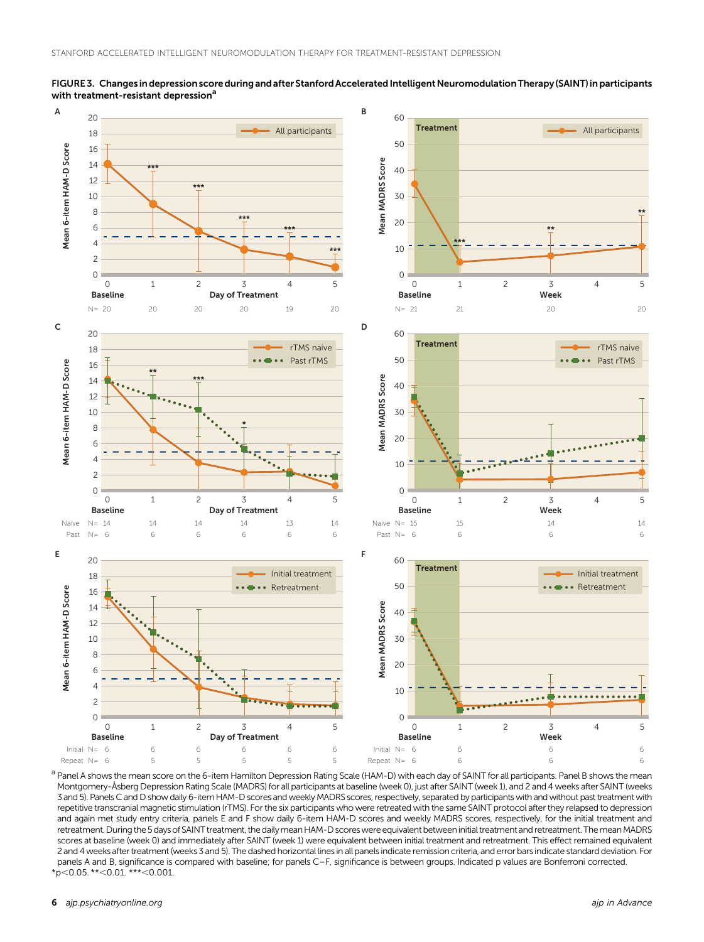

FIGURE 3. Changes in depression score during and after Stanford Accelerated Intelligent Neuromodulation Therapy (SAINT) in participants with treatment-resistant depression<sup>a</sup>

a Panel A shows the mean score on the 6-item Hamilton Depression Rating Scale (HAM-D) with each day of SAINT for all participants. Panel B shows the mean Montgomery-Åsberg Depression Rating Scale (MADRS) for all participants at baseline (week 0), just after SAINT (week 1), and 2 and 4 weeks after SAINT (weeks 3 and 5). Panels C and D show daily 6-item HAM-D scores and weekly MADRS scores, respectively, separated by participants with and without past treatment with repetitive transcranial magnetic stimulation (rTMS). For the six participants who were retreated with the same SAINT protocol after they relapsed to depression and again met study entry criteria, panels E and F show daily 6-item HAM-D scores and weekly MADRS scores, respectively, for the initial treatment and retreatment. During the 5 days of SAINT treatment, the dailymean HAM-D scores were equivalent between initial treatment and retreatment. ThemeanMADRS scores at baseline (week 0) and immediately after SAINT (week 1) were equivalent between initial treatment and retreatment. This effect remained equivalent 2 and 4 weeks after treatment (weeks 3 and 5). The dashed horizontal lines in all panels indicate remission criteria, and error bars indicate standard deviation. For panels A and B, significance is compared with baseline; for panels C–F, significance is between groups. Indicated p values are Bonferroni corrected.  $*p<0.05$ . \*\*<0.01. \*\*\*<0.001.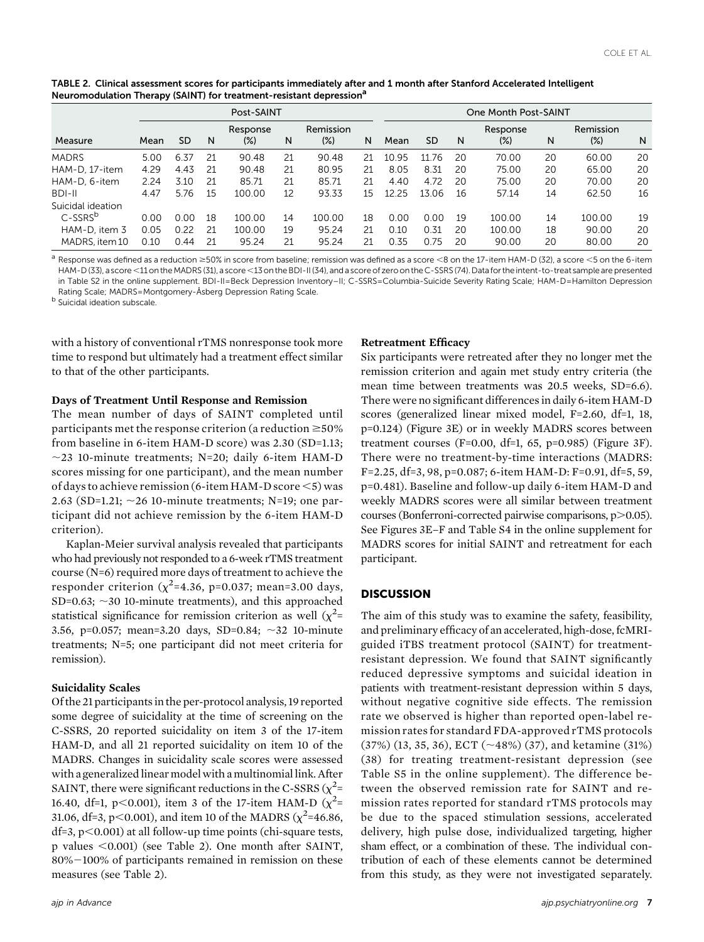|                   | Post-SAINT |      |    |                    |    |                     | One Month Post-SAINT |       |          |    |                    |    |                     |    |
|-------------------|------------|------|----|--------------------|----|---------------------|----------------------|-------|----------|----|--------------------|----|---------------------|----|
| Measure           | Mean       | SD   | N  | Response<br>$(\%)$ | N  | Remission<br>$(\%)$ | N                    | Mean  | SD       | N  | Response<br>$(\%)$ | Ν  | Remission<br>$(\%)$ | N  |
| <b>MADRS</b>      | 5.00       | 6.37 | 21 | 90.48              | 21 | 90.48               | 21                   | 10.95 | 76<br>11 | 20 | 70.00              | 20 | 60.00               | 20 |
| HAM-D. 17-item    | 4.29       | 4.43 | 21 | 90.48              | 21 | 80.95               | 21                   | 8.05  | 8.31     | 20 | 75.00              | 20 | 65.00               | 20 |
| HAM-D, 6-item     | 2.24       | 3.10 | 21 | 85.71              | 21 | 85.71               | 21                   | 4.40  | 4.72     | 20 | 75.00              | 20 | 70.00               | 20 |
| BDI-II            | 4.47       | 5.76 | 15 | 100.00             | 12 | 93.33               | 15                   | 12.25 | 13.06    | 16 | 57.14              | 14 | 62.50               | 16 |
| Suicidal ideation |            |      |    |                    |    |                     |                      |       |          |    |                    |    |                     |    |
| $C-SSRS^b$        | 0.00       | 0.00 | 18 | 100.00             | 14 | 100.00              | 18                   | 0.00  | 0.00     | 19 | 100.00             | 14 | 100.00              | 19 |
| HAM-D, item 3     | 0.05       | 0.22 | 21 | 100.00             | 19 | 95.24               | 21                   | 0.10  | 0.31     | 20 | 100.00             | 18 | 90.00               | 20 |
| MADRS, item 10    | 0.10       | 0.44 | 21 | 95.24              | 21 | 95.24               | 21                   | 0.35  | 0.75     | 20 | 90.00              | 20 | 80.00               | 20 |

TABLE 2. Clinical assessment scores for participants immediately after and 1 month after Stanford Accelerated Intelligent Neuromodulation Therapy (SAINT) for treatment-resistant depression<sup>a</sup>

<sup>a</sup> Response was defined as a reduction ≥50% in score from baseline; remission was defined as a score <8 on the 17-item HAM-D (32), a score <5 on the 6-item HAM-D (33), a score <11 on the MADRS (31), a score <13 on the BDI-II (34), and a score of zero on the C-SSRS (74). Data for the intent-to-treat sample are presented in Table S2 in the online supplement. BDI-II=Beck Depression Inventory–II; C-SSRS=Columbia-Suicide Severity Rating Scale; HAM-D=Hamilton Depression Rating Scale; MADRS=Montgomery-Åsberg Depression Rating Scale.

b Suicidal ideation subscale.

with a history of conventional rTMS nonresponse took more time to respond but ultimately had a treatment effect similar to that of the other participants.

#### Days of Treatment Until Response and Remission

The mean number of days of SAINT completed until participants met the response criterion (a reduction  $\geq 50\%$ from baseline in 6-item HAM-D score) was 2.30 (SD=1.13;  $\sim$ 23 10-minute treatments; N=20; daily 6-item HAM-D scores missing for one participant), and the mean number of days to achieve remission (6-item HAM-D score  $\leq$ 5) was 2.63 (SD=1.21;  $\sim$  26 10-minute treatments; N=19; one participant did not achieve remission by the 6-item HAM-D criterion).

Kaplan-Meier survival analysis revealed that participants who had previously not responded to a 6-week rTMS treatment course (N=6) required more days of treatment to achieve the responder criterion  $(\chi^2=4.36, p=0.037;$  mean=3.00 days, SD=0.63;  $\sim$ 30 10-minute treatments), and this approached statistical significance for remission criterion as well  $(\chi^2$ = 3.56, p=0.057; mean=3.20 days, SD=0.84;  $\sim$ 32 10-minute treatments; N=5; one participant did not meet criteria for remission).

### Suicidality Scales

Of the 21 participants in the per-protocol analysis, 19 reported some degree of suicidality at the time of screening on the C-SSRS, 20 reported suicidality on item 3 of the 17-item HAM-D, and all 21 reported suicidality on item 10 of the MADRS. Changes in suicidality scale scores were assessed with a generalized linear model with a multinomial link. After SAINT, there were significant reductions in the C-SSRS  $(\chi^2 =$ 16.40, df=1, p<0.001), item 3 of the 17-item HAM-D  $(\chi^2 =$ 31.06, df=3, p<0.001), and item 10 of the MADRS ( $\chi^2$ =46.86,  $df=3$ ,  $p<0.001$ ) at all follow-up time points (chi-square tests, p values  $\leq 0.001$ ) (see Table 2). One month after SAINT,  $80\% - 100\%$  of participants remained in remission on these measures (see Table 2).

## Retreatment Efficacy

Six participants were retreated after they no longer met the remission criterion and again met study entry criteria (the mean time between treatments was 20.5 weeks, SD=6.6). There were no significant differences in daily 6-item HAM-D scores (generalized linear mixed model, F=2.60, df=1, 18, p=0.124) (Figure 3E) or in weekly MADRS scores between treatment courses (F=0.00, df=1, 65, p=0.985) (Figure 3F). There were no treatment-by-time interactions (MADRS: F=2.25, df=3, 98, p=0.087; 6-item HAM-D: F=0.91, df=5, 59, p=0.481). Baseline and follow-up daily 6-item HAM-D and weekly MADRS scores were all similar between treatment courses (Bonferroni-corrected pairwise comparisons,  $p > 0.05$ ). See Figures 3E–F and Table S4 in the online supplement for MADRS scores for initial SAINT and retreatment for each participant.

### **DISCUSSION**

The aim of this study was to examine the safety, feasibility, and preliminary efficacy of an accelerated, high-dose, fcMRIguided iTBS treatment protocol (SAINT) for treatmentresistant depression. We found that SAINT significantly reduced depressive symptoms and suicidal ideation in patients with treatment-resistant depression within 5 days, without negative cognitive side effects. The remission rate we observed is higher than reported open-label remission rates for standard FDA-approved rTMS protocols  $(37%)$   $(13, 35, 36)$ , ECT  $(\sim48%)$   $(37)$ , and ketamine  $(31%)$ (38) for treating treatment-resistant depression (see Table S5 in the online supplement). The difference between the observed remission rate for SAINT and remission rates reported for standard rTMS protocols may be due to the spaced stimulation sessions, accelerated delivery, high pulse dose, individualized targeting, higher sham effect, or a combination of these. The individual contribution of each of these elements cannot be determined from this study, as they were not investigated separately.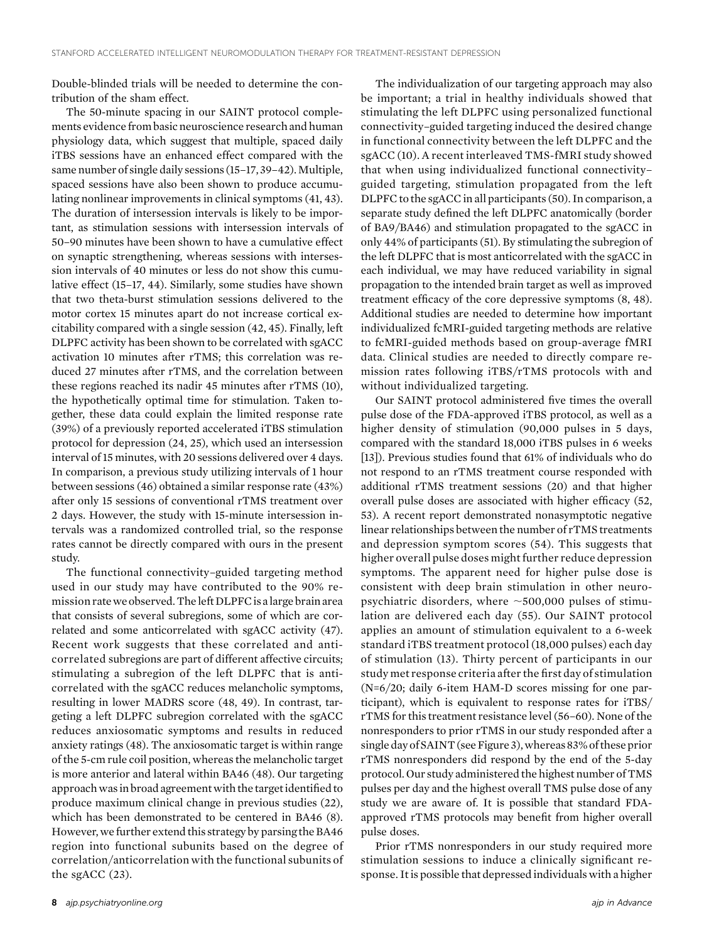Double-blinded trials will be needed to determine the contribution of the sham effect.

The 50-minute spacing in our SAINT protocol complements evidence from basic neuroscience research and human physiology data, which suggest that multiple, spaced daily iTBS sessions have an enhanced effect compared with the same number of single daily sessions (15-17, 39-42). Multiple, spaced sessions have also been shown to produce accumulating nonlinear improvements in clinical symptoms (41, 43). The duration of intersession intervals is likely to be important, as stimulation sessions with intersession intervals of 50–90 minutes have been shown to have a cumulative effect on synaptic strengthening, whereas sessions with intersession intervals of 40 minutes or less do not show this cumulative effect (15–17, 44). Similarly, some studies have shown that two theta-burst stimulation sessions delivered to the motor cortex 15 minutes apart do not increase cortical excitability compared with a single session (42, 45). Finally, left DLPFC activity has been shown to be correlated with sgACC activation 10 minutes after rTMS; this correlation was reduced 27 minutes after rTMS, and the correlation between these regions reached its nadir 45 minutes after rTMS (10), the hypothetically optimal time for stimulation. Taken together, these data could explain the limited response rate (39%) of a previously reported accelerated iTBS stimulation protocol for depression (24, 25), which used an intersession interval of 15 minutes, with 20 sessions delivered over 4 days. In comparison, a previous study utilizing intervals of 1 hour between sessions (46) obtained a similar response rate (43%) after only 15 sessions of conventional rTMS treatment over 2 days. However, the study with 15-minute intersession intervals was a randomized controlled trial, so the response rates cannot be directly compared with ours in the present study.

The functional connectivity–guided targeting method used in our study may have contributed to the 90% remission rate we observed. The left DLPFC is a large brain area that consists of several subregions, some of which are correlated and some anticorrelated with sgACC activity (47). Recent work suggests that these correlated and anticorrelated subregions are part of different affective circuits; stimulating a subregion of the left DLPFC that is anticorrelated with the sgACC reduces melancholic symptoms, resulting in lower MADRS score (48, 49). In contrast, targeting a left DLPFC subregion correlated with the sgACC reduces anxiosomatic symptoms and results in reduced anxiety ratings (48). The anxiosomatic target is within range of the 5-cm rule coil position, whereas the melancholic target is more anterior and lateral within BA46 (48). Our targeting approach was in broad agreement with the targetidentified to produce maximum clinical change in previous studies (22), which has been demonstrated to be centered in BA46 (8). However, we further extend this strategy by parsing the BA46 region into functional subunits based on the degree of correlation/anticorrelation with the functional subunits of the sgACC (23).

The individualization of our targeting approach may also be important; a trial in healthy individuals showed that stimulating the left DLPFC using personalized functional connectivity–guided targeting induced the desired change in functional connectivity between the left DLPFC and the sgACC (10). A recent interleaved TMS-fMRI study showed that when using individualized functional connectivity– guided targeting, stimulation propagated from the left DLPFC to the sgACC in all participants (50). In comparison, a separate study defined the left DLPFC anatomically (border of BA9/BA46) and stimulation propagated to the sgACC in only 44% of participants (51). By stimulating the subregion of the left DLPFC that is most anticorrelated with the sgACC in each individual, we may have reduced variability in signal propagation to the intended brain target as well as improved treatment efficacy of the core depressive symptoms (8, 48). Additional studies are needed to determine how important individualized fcMRI-guided targeting methods are relative to fcMRI-guided methods based on group-average fMRI data. Clinical studies are needed to directly compare remission rates following iTBS/rTMS protocols with and without individualized targeting.

Our SAINT protocol administered five times the overall pulse dose of the FDA-approved iTBS protocol, as well as a higher density of stimulation (90,000 pulses in 5 days, compared with the standard 18,000 iTBS pulses in 6 weeks [13]). Previous studies found that 61% of individuals who do not respond to an rTMS treatment course responded with additional rTMS treatment sessions (20) and that higher overall pulse doses are associated with higher efficacy (52, 53). A recent report demonstrated nonasymptotic negative linear relationships between the number of rTMS treatments and depression symptom scores (54). This suggests that higher overall pulse doses might further reduce depression symptoms. The apparent need for higher pulse dose is consistent with deep brain stimulation in other neuropsychiatric disorders, where  $\sim$ 500,000 pulses of stimulation are delivered each day (55). Our SAINT protocol applies an amount of stimulation equivalent to a 6-week standard iTBS treatment protocol (18,000 pulses) each day of stimulation (13). Thirty percent of participants in our study met response criteria after the first day of stimulation (N=6/20; daily 6-item HAM-D scores missing for one participant), which is equivalent to response rates for iTBS/ rTMS for this treatment resistance level (56–60). None of the nonresponders to prior rTMS in our study responded after a single day of SAINT (see Figure 3), whereas 83% of these prior rTMS nonresponders did respond by the end of the 5-day protocol. Our study administered the highest number of TMS pulses per day and the highest overall TMS pulse dose of any study we are aware of. It is possible that standard FDAapproved rTMS protocols may benefit from higher overall pulse doses.

Prior rTMS nonresponders in our study required more stimulation sessions to induce a clinically significant response. It is possible that depressed individuals with a higher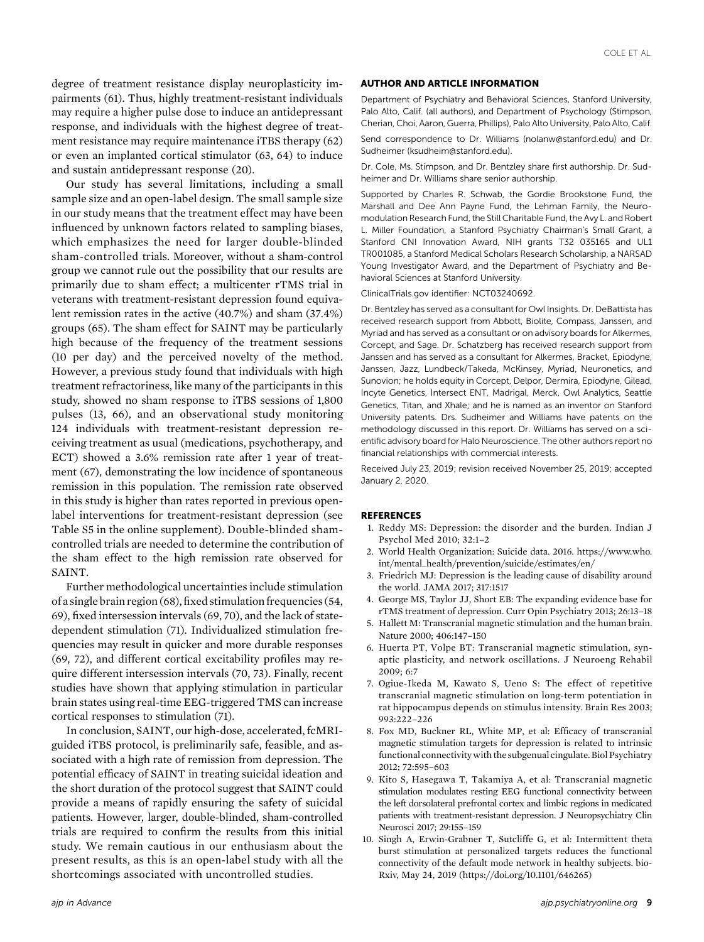degree of treatment resistance display neuroplasticity impairments (61). Thus, highly treatment-resistant individuals may require a higher pulse dose to induce an antidepressant response, and individuals with the highest degree of treatment resistance may require maintenance iTBS therapy (62) or even an implanted cortical stimulator (63, 64) to induce and sustain antidepressant response (20).

Our study has several limitations, including a small sample size and an open-label design. The small sample size in our study means that the treatment effect may have been influenced by unknown factors related to sampling biases, which emphasizes the need for larger double-blinded sham-controlled trials. Moreover, without a sham-control group we cannot rule out the possibility that our results are primarily due to sham effect; a multicenter rTMS trial in veterans with treatment-resistant depression found equivalent remission rates in the active (40.7%) and sham (37.4%) groups (65). The sham effect for SAINT may be particularly high because of the frequency of the treatment sessions (10 per day) and the perceived novelty of the method. However, a previous study found that individuals with high treatment refractoriness, like many of the participants in this study, showed no sham response to iTBS sessions of 1,800 pulses (13, 66), and an observational study monitoring 124 individuals with treatment-resistant depression receiving treatment as usual (medications, psychotherapy, and ECT) showed a 3.6% remission rate after 1 year of treatment (67), demonstrating the low incidence of spontaneous remission in this population. The remission rate observed in this study is higher than rates reported in previous openlabel interventions for treatment-resistant depression (see Table S5 in the online supplement). Double-blinded shamcontrolled trials are needed to determine the contribution of the sham effect to the high remission rate observed for SAINT.

Further methodological uncertainties include stimulation of a single brain region (68),fixed stimulation frequencies (54, 69), fixed intersession intervals (69, 70), and the lack of statedependent stimulation (71). Individualized stimulation frequencies may result in quicker and more durable responses (69, 72), and different cortical excitability profiles may require different intersession intervals (70, 73). Finally, recent studies have shown that applying stimulation in particular brain states using real-time EEG-triggered TMS can increase cortical responses to stimulation (71).

In conclusion, SAINT, our high-dose, accelerated, fcMRIguided iTBS protocol, is preliminarily safe, feasible, and associated with a high rate of remission from depression. The potential efficacy of SAINT in treating suicidal ideation and the short duration of the protocol suggest that SAINT could provide a means of rapidly ensuring the safety of suicidal patients. However, larger, double-blinded, sham-controlled trials are required to confirm the results from this initial study. We remain cautious in our enthusiasm about the present results, as this is an open-label study with all the shortcomings associated with uncontrolled studies.

#### AUTHOR AND ARTICLE INFORMATION

Department of Psychiatry and Behavioral Sciences, Stanford University, Palo Alto, Calif. (all authors), and Department of Psychology (Stimpson, Cherian, Choi, Aaron, Guerra, Phillips), Palo Alto University, Palo Alto, Calif.

Send correspondence to Dr. Williams ([nolanw@stanford.edu](mailto:nolanw@stanford.edu)) and Dr. Sudheimer ([ksudheim@stanford.edu\)](mailto:ksudheim@stanford.edu).

Dr. Cole, Ms. Stimpson, and Dr. Bentzley share first authorship. Dr. Sudheimer and Dr. Williams share senior authorship.

Supported by Charles R. Schwab, the Gordie Brookstone Fund, the Marshall and Dee Ann Payne Fund, the Lehman Family, the Neuromodulation Research Fund, the Still Charitable Fund, the Avy L. and Robert L. Miller Foundation, a Stanford Psychiatry Chairman's Small Grant, a Stanford CNI Innovation Award, NIH grants T32 035165 and UL1 TR001085, a Stanford Medical Scholars Research Scholarship, a NARSAD Young Investigator Award, and the Department of Psychiatry and Behavioral Sciences at Stanford University.

ClinicalTrials.gov identifier: NCT03240692.

Dr. Bentzley has served as a consultant for Owl Insights. Dr. DeBattista has received research support from Abbott, Biolite, Compass, Janssen, and Myriad and has served as a consultant or on advisory boards for Alkermes, Corcept, and Sage. Dr. Schatzberg has received research support from Janssen and has served as a consultant for Alkermes, Bracket, Epiodyne, Janssen, Jazz, Lundbeck/Takeda, McKinsey, Myriad, Neuronetics, and Sunovion; he holds equity in Corcept, Delpor, Dermira, Epiodyne, Gilead, Incyte Genetics, Intersect ENT, Madrigal, Merck, Owl Analytics, Seattle Genetics, Titan, and Xhale; and he is named as an inventor on Stanford University patents. Drs. Sudheimer and Williams have patents on the methodology discussed in this report. Dr. Williams has served on a scientific advisory board for Halo Neuroscience. The other authors report no financial relationships with commercial interests.

Received July 23, 2019; revision received November 25, 2019; accepted January 2, 2020.

#### **REFERENCES**

- 1. Reddy MS: Depression: the disorder and the burden. Indian J Psychol Med 2010; 32:1–2
- 2. World Health Organization: Suicide data. 2016. [https://www.who.](https://www.who.int/mental_health/prevention/suicide/estimates/en/) [int/mental\\_health/prevention/suicide/estimates/en/](https://www.who.int/mental_health/prevention/suicide/estimates/en/)
- 3. Friedrich MJ: Depression is the leading cause of disability around the world. JAMA 2017; 317:1517
- 4. George MS, Taylor JJ, Short EB: The expanding evidence base for rTMS treatment of depression. Curr Opin Psychiatry 2013; 26:13–18
- 5. Hallett M: Transcranial magnetic stimulation and the human brain. Nature 2000; 406:147–150
- 6. Huerta PT, Volpe BT: Transcranial magnetic stimulation, synaptic plasticity, and network oscillations. J Neuroeng Rehabil 2009; 6:7
- 7. Ogiue-Ikeda M, Kawato S, Ueno S: The effect of repetitive transcranial magnetic stimulation on long-term potentiation in rat hippocampus depends on stimulus intensity. Brain Res 2003; 993:222–226
- 8. Fox MD, Buckner RL, White MP, et al: Efficacy of transcranial magnetic stimulation targets for depression is related to intrinsic functional connectivity with the subgenual cingulate. Biol Psychiatry 2012; 72:595–603
- 9. Kito S, Hasegawa T, Takamiya A, et al: Transcranial magnetic stimulation modulates resting EEG functional connectivity between the left dorsolateral prefrontal cortex and limbic regions in medicated patients with treatment-resistant depression. J Neuropsychiatry Clin Neurosci 2017; 29:155–159
- 10. Singh A, Erwin-Grabner T, Sutcliffe G, et al: Intermittent theta burst stimulation at personalized targets reduces the functional connectivity of the default mode network in healthy subjects. bio-Rxiv, May 24, 2019 [\(https://doi.org/10.1101/646265](https://doi.org/10.1101/646265))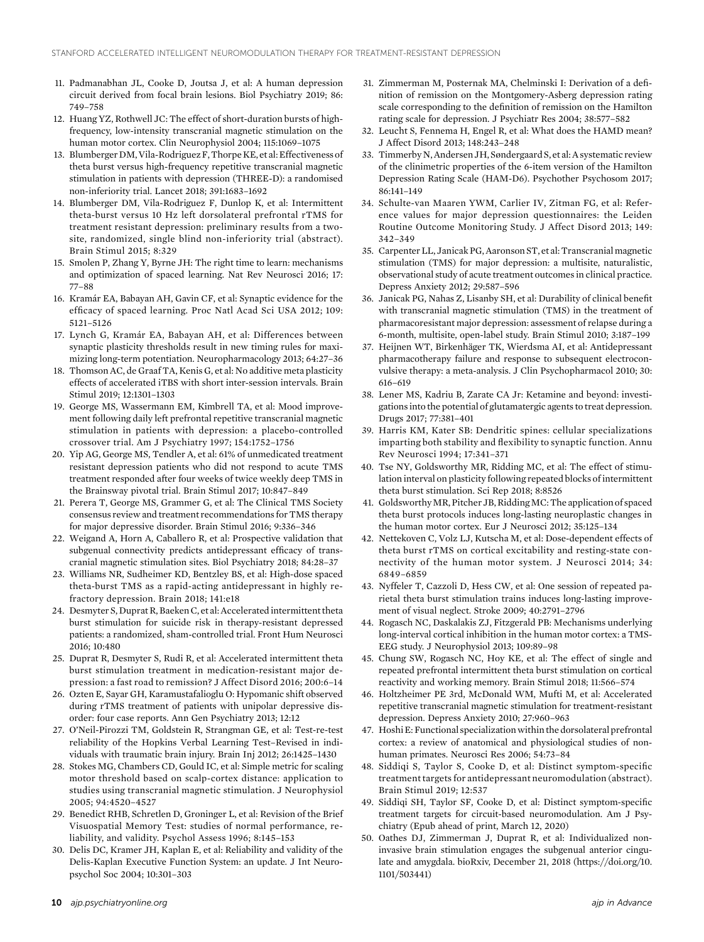- 11. Padmanabhan JL, Cooke D, Joutsa J, et al: A human depression circuit derived from focal brain lesions. Biol Psychiatry 2019; 86: 749–758
- 12. Huang YZ, Rothwell JC: The effect of short-duration bursts of highfrequency, low-intensity transcranial magnetic stimulation on the human motor cortex. Clin Neurophysiol 2004; 115:1069–1075
- 13. Blumberger DM, Vila-Rodriguez F, Thorpe KE, et al: Effectiveness of theta burst versus high-frequency repetitive transcranial magnetic stimulation in patients with depression (THREE-D): a randomised non-inferiority trial. Lancet 2018; 391:1683–1692
- 14. Blumberger DM, Vila-Rodriguez F, Dunlop K, et al: Intermittent theta-burst versus 10 Hz left dorsolateral prefrontal rTMS for treatment resistant depression: preliminary results from a twosite, randomized, single blind non-inferiority trial (abstract). Brain Stimul 2015; 8:329
- 15. Smolen P, Zhang Y, Byrne JH: The right time to learn: mechanisms and optimization of spaced learning. Nat Rev Neurosci 2016; 17: 77–88
- 16. Kramár EA, Babayan AH, Gavin CF, et al: Synaptic evidence for the efficacy of spaced learning. Proc Natl Acad Sci USA 2012; 109: 5121–5126
- 17. Lynch G, Kramár EA, Babayan AH, et al: Differences between synaptic plasticity thresholds result in new timing rules for maximizing long-term potentiation. Neuropharmacology 2013; 64:27–36
- 18. Thomson AC, de Graaf TA, Kenis G, et al: No additive meta plasticity effects of accelerated iTBS with short inter-session intervals. Brain Stimul 2019; 12:1301–1303
- 19. George MS, Wassermann EM, Kimbrell TA, et al: Mood improvement following daily left prefrontal repetitive transcranial magnetic stimulation in patients with depression: a placebo-controlled crossover trial. Am J Psychiatry 1997; 154:1752–1756
- 20. Yip AG, George MS, Tendler A, et al: 61% of unmedicated treatment resistant depression patients who did not respond to acute TMS treatment responded after four weeks of twice weekly deep TMS in the Brainsway pivotal trial. Brain Stimul 2017; 10:847–849
- 21. Perera T, George MS, Grammer G, et al: The Clinical TMS Society consensus review and treatment recommendations for TMS therapy for major depressive disorder. Brain Stimul 2016; 9:336–346
- 22. Weigand A, Horn A, Caballero R, et al: Prospective validation that subgenual connectivity predicts antidepressant efficacy of transcranial magnetic stimulation sites. Biol Psychiatry 2018; 84:28–37
- 23. Williams NR, Sudheimer KD, Bentzley BS, et al: High-dose spaced theta-burst TMS as a rapid-acting antidepressant in highly refractory depression. Brain 2018; 141:e18
- 24. Desmyter S, Duprat R, Baeken C, et al: Accelerated intermittent theta burst stimulation for suicide risk in therapy-resistant depressed patients: a randomized, sham-controlled trial. Front Hum Neurosci 2016; 10:480
- 25. Duprat R, Desmyter S, Rudi R, et al: Accelerated intermittent theta burst stimulation treatment in medication-resistant major depression: a fast road to remission? J Affect Disord 2016; 200:6–14
- 26. Ozten E, Sayar GH, Karamustafalioglu O: Hypomanic shift observed during rTMS treatment of patients with unipolar depressive disorder: four case reports. Ann Gen Psychiatry 2013; 12:12
- 27. O'Neil-Pirozzi TM, Goldstein R, Strangman GE, et al: Test-re-test reliability of the Hopkins Verbal Learning Test–Revised in individuals with traumatic brain injury. Brain Inj 2012; 26:1425–1430
- 28. Stokes MG, Chambers CD, Gould IC, et al: Simple metric for scaling motor threshold based on scalp-cortex distance: application to studies using transcranial magnetic stimulation. J Neurophysiol 2005; 94:4520–4527
- 29. Benedict RHB, Schretlen D, Groninger L, et al: Revision of the Brief Visuospatial Memory Test: studies of normal performance, reliability, and validity. Psychol Assess 1996; 8:145–153
- 30. Delis DC, Kramer JH, Kaplan E, et al: Reliability and validity of the Delis-Kaplan Executive Function System: an update. J Int Neuropsychol Soc 2004; 10:301–303
- 31. Zimmerman M, Posternak MA, Chelminski I: Derivation of a definition of remission on the Montgomery-Asberg depression rating scale corresponding to the definition of remission on the Hamilton rating scale for depression. J Psychiatr Res 2004; 38:577–582
- 32. Leucht S, Fennema H, Engel R, et al: What does the HAMD mean? J Affect Disord 2013; 148:243–248
- 33. Timmerby N,Andersen JH, Søndergaard S, et al: A systematic review of the clinimetric properties of the 6-item version of the Hamilton Depression Rating Scale (HAM-D6). Psychother Psychosom 2017; 86:141–149
- 34. Schulte-van Maaren YWM, Carlier IV, Zitman FG, et al: Reference values for major depression questionnaires: the Leiden Routine Outcome Monitoring Study. J Affect Disord 2013; 149: 342–349
- 35. Carpenter LL, Janicak PG, Aaronson ST, et al: Transcranial magnetic stimulation (TMS) for major depression: a multisite, naturalistic, observational study of acute treatment outcomes in clinical practice. Depress Anxiety 2012; 29:587–596
- 36. Janicak PG, Nahas Z, Lisanby SH, et al: Durability of clinical benefit with transcranial magnetic stimulation (TMS) in the treatment of pharmacoresistant major depression: assessment of relapse during a 6-month, multisite, open-label study. Brain Stimul 2010; 3:187–199
- 37. Heijnen WT, Birkenhäger TK, Wierdsma AI, et al: Antidepressant pharmacotherapy failure and response to subsequent electroconvulsive therapy: a meta-analysis. J Clin Psychopharmacol 2010; 30: 616–619
- 38. Lener MS, Kadriu B, Zarate CA Jr: Ketamine and beyond: investigations into the potential of glutamatergic agents to treat depression. Drugs 2017; 77:381–401
- 39. Harris KM, Kater SB: Dendritic spines: cellular specializations imparting both stability and flexibility to synaptic function. Annu Rev Neurosci 1994; 17:341–371
- 40. Tse NY, Goldsworthy MR, Ridding MC, et al: The effect of stimulation interval on plasticity following repeated blocks of intermittent theta burst stimulation. Sci Rep 2018; 8:8526
- 41. GoldsworthyMR, Pitcher JB,RiddingMC:The application of spaced theta burst protocols induces long-lasting neuroplastic changes in the human motor cortex. Eur J Neurosci 2012; 35:125–134
- 42. Nettekoven C, Volz LJ, Kutscha M, et al: Dose-dependent effects of theta burst rTMS on cortical excitability and resting-state connectivity of the human motor system. J Neurosci 2014; 34: 6849–6859
- 43. Nyffeler T, Cazzoli D, Hess CW, et al: One session of repeated parietal theta burst stimulation trains induces long-lasting improvement of visual neglect. Stroke 2009; 40:2791–2796
- 44. Rogasch NC, Daskalakis ZJ, Fitzgerald PB: Mechanisms underlying long-interval cortical inhibition in the human motor cortex: a TMS-EEG study. J Neurophysiol 2013; 109:89–98
- 45. Chung SW, Rogasch NC, Hoy KE, et al: The effect of single and repeated prefrontal intermittent theta burst stimulation on cortical reactivity and working memory. Brain Stimul 2018; 11:566–574
- 46. Holtzheimer PE 3rd, McDonald WM, Mufti M, et al: Accelerated repetitive transcranial magnetic stimulation for treatment-resistant depression. Depress Anxiety 2010; 27:960–963
- 47. Hoshi E: Functional specialization within the dorsolateral prefrontal cortex: a review of anatomical and physiological studies of nonhuman primates. Neurosci Res 2006; 54:73–84
- 48. Siddiqi S, Taylor S, Cooke D, et al: Distinct symptom-specific treatment targets for antidepressant neuromodulation (abstract). Brain Stimul 2019; 12:537
- 49. Siddiqi SH, Taylor SF, Cooke D, et al: Distinct symptom-specific treatment targets for circuit-based neuromodulation. Am J Psychiatry (Epub ahead of print, March 12, 2020)
- 50. Oathes DJ, Zimmerman J, Duprat R, et al: Individualized noninvasive brain stimulation engages the subgenual anterior cingulate and amygdala. bioRxiv, December 21, 2018 [\(https://doi.org/10.](https://doi.org/10.1101/503441) [1101/503441\)](https://doi.org/10.1101/503441)